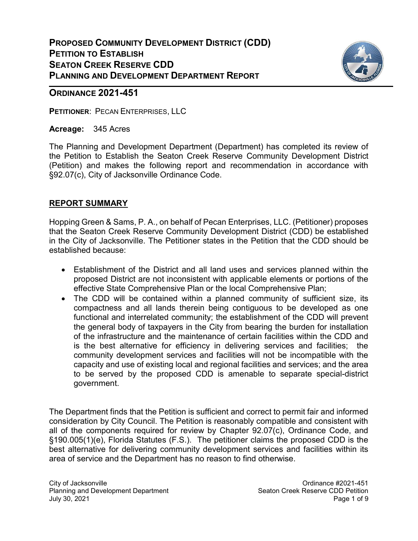

### **ORDINANCE 2021-451**

PETITIONER: PECAN ENTERPRISES, LLC

Acreage: 345 Acres

The Planning and Development Department (Department) has completed its review of the Petition to Establish the Seaton Creek Reserve Community Development District (Petition) and makes the following report and recommendation in accordance with §92.07(c), City of Jacksonville Ordinance Code.

### REPORT SUMMARY

Hopping Green & Sams, P. A., on behalf of Pecan Enterprises, LLC. (Petitioner) proposes that the Seaton Creek Reserve Community Development District (CDD) be established in the City of Jacksonville. The Petitioner states in the Petition that the CDD should be established because:

- Establishment of the District and all land uses and services planned within the proposed District are not inconsistent with applicable elements or portions of the effective State Comprehensive Plan or the local Comprehensive Plan;
- The CDD will be contained within a planned community of sufficient size, its compactness and all lands therein being contiguous to be developed as one functional and interrelated community; the establishment of the CDD will prevent the general body of taxpayers in the City from bearing the burden for installation of the infrastructure and the maintenance of certain facilities within the CDD and is the best alternative for efficiency in delivering services and facilities; the community development services and facilities will not be incompatible with the capacity and use of existing local and regional facilities and services; and the area to be served by the proposed CDD is amenable to separate special-district government.

The Department finds that the Petition is sufficient and correct to permit fair and informed consideration by City Council. The Petition is reasonably compatible and consistent with all of the components required for review by Chapter 92.07(c), Ordinance Code, and §190.005(1)(e), Florida Statutes (F.S.). The petitioner claims the proposed CDD is the best alternative for delivering community development services and facilities within its area of service and the Department has no reason to find otherwise.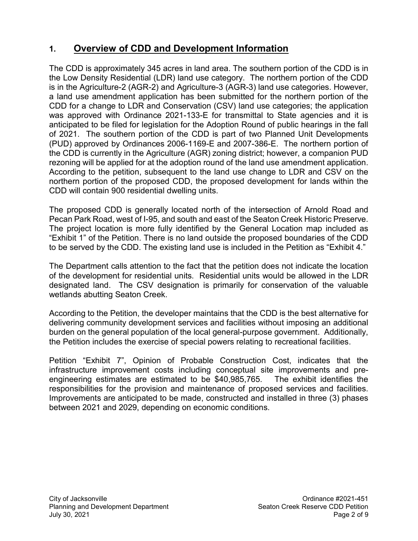## 1. Overview of CDD and Development Information

The CDD is approximately 345 acres in land area. The southern portion of the CDD is in the Low Density Residential (LDR) land use category. The northern portion of the CDD is in the Agriculture-2 (AGR-2) and Agriculture-3 (AGR-3) land use categories. However, a land use amendment application has been submitted for the northern portion of the CDD for a change to LDR and Conservation (CSV) land use categories; the application was approved with Ordinance 2021-133-E for transmittal to State agencies and it is anticipated to be filed for legislation for the Adoption Round of public hearings in the fall of 2021. The southern portion of the CDD is part of two Planned Unit Developments (PUD) approved by Ordinances 2006-1169-E and 2007-386-E. The northern portion of the CDD is currently in the Agriculture (AGR) zoning district; however, a companion PUD rezoning will be applied for at the adoption round of the land use amendment application. According to the petition, subsequent to the land use change to LDR and CSV on the northern portion of the proposed CDD, the proposed development for lands within the CDD will contain 900 residential dwelling units.

The proposed CDD is generally located north of the intersection of Arnold Road and Pecan Park Road, west of I-95, and south and east of the Seaton Creek Historic Preserve. The project location is more fully identified by the General Location map included as "Exhibit 1" of the Petition. There is no land outside the proposed boundaries of the CDD to be served by the CDD. The existing land use is included in the Petition as "Exhibit 4."

The Department calls attention to the fact that the petition does not indicate the location of the development for residential units. Residential units would be allowed in the LDR designated land. The CSV designation is primarily for conservation of the valuable wetlands abutting Seaton Creek.

According to the Petition, the developer maintains that the CDD is the best alternative for delivering community development services and facilities without imposing an additional burden on the general population of the local general-purpose government. Additionally, the Petition includes the exercise of special powers relating to recreational facilities.

Petition "Exhibit 7", Opinion of Probable Construction Cost, indicates that the infrastructure improvement costs including conceptual site improvements and preengineering estimates are estimated to be \$40,985,765. The exhibit identifies the responsibilities for the provision and maintenance of proposed services and facilities. Improvements are anticipated to be made, constructed and installed in three (3) phases between 2021 and 2029, depending on economic conditions.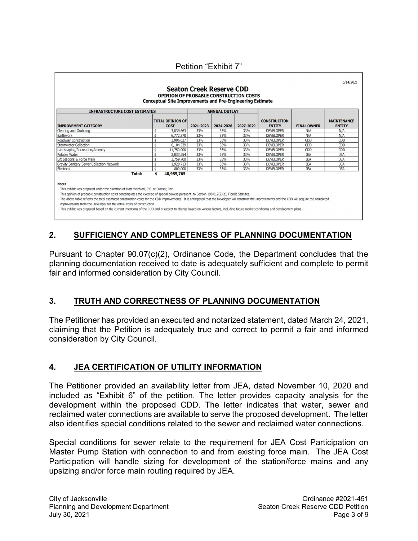| <b>TOTAL OPINION OF</b><br><b>IMPROVEMENT CATEGORY</b><br><b>COST</b><br>Clearing and Grubbing<br>\$<br>Earthwork<br>\$<br>Roadway Construction<br>Stormwater Collection<br>\$ | 2021-2023<br>3.839,663<br>33% | 2024-2026 | 2027-2029 | <b>CONSTRUCTION</b>                 |                                     |            |
|--------------------------------------------------------------------------------------------------------------------------------------------------------------------------------|-------------------------------|-----------|-----------|-------------------------------------|-------------------------------------|------------|
|                                                                                                                                                                                |                               |           |           | <b>ENTITY</b><br><b>FINAL OWNER</b> | <b>MAINTENANCE</b><br><b>ENTITY</b> |            |
|                                                                                                                                                                                |                               | 33%       | 33%       | <b>DEVELOPER</b>                    | N/A                                 | N/A        |
|                                                                                                                                                                                | 6,772,370<br>33%              | 33%       | 33%       | <b>DEVELOPER</b>                    | N/A                                 | N/A        |
|                                                                                                                                                                                | 33%<br>3,996,627              | 33%       | 33%       | <b>DEVELOPER</b>                    | CDD                                 | CDD        |
|                                                                                                                                                                                | 33%<br>6,104,339              | 33%       | 33%       | <b>DEVELOPER</b>                    | CDD                                 | CDD        |
| \$<br>Landscaping/Recreation/Amenity                                                                                                                                           | 33%<br>11,750,000             | 33%       | 33%       | <b>DEVELOPER</b>                    | CDD                                 | CDD        |
| Potable Water                                                                                                                                                                  | 2,033,354<br>33%              | 33%       | 33%       | <b>DEVELOPER</b>                    | <b>JEA</b>                          | <b>JEA</b> |
| Lift Stations & Force Main<br>\$                                                                                                                                               | 3,759,700<br>33%              | 33%       | 33%       | <b>DEVELOPER</b>                    | <b>JEA</b>                          | <b>JEA</b> |
| Gravity Sanitary Sewer Collection Network<br>\$                                                                                                                                | 1,929,713<br>33%              | 33%       | 33%       | <b>DEVELOPER</b>                    | <b>JEA</b>                          | <b>JEA</b> |
| Electrical<br>$\ddot{\bm{\varsigma}}$                                                                                                                                          | 33%<br>800,000                | 33%       | 33%       | <b>DEVELOPER</b>                    | <b>JEA</b>                          | <b>JEA</b> |
| \$<br><b>Total:</b>                                                                                                                                                            | 40,985,765                    |           |           |                                     |                                     |            |

Petition "Exhibit 7"

## 2. SUFFICIENCY AND COMPLETENESS OF PLANNING DOCUMENTATION

Pursuant to Chapter 90.07(c)(2), Ordinance Code, the Department concludes that the planning documentation received to date is adequately sufficient and complete to permit fair and informed consideration by City Council.

### 3. TRUTH AND CORRECTNESS OF PLANNING DOCUMENTATION

The Petitioner has provided an executed and notarized statement, dated March 24, 2021, claiming that the Petition is adequately true and correct to permit a fair and informed consideration by City Council.

### 4. JEA CERTIFICATION OF UTILITY INFORMATION

The Petitioner provided an availability letter from JEA, dated November 10, 2020 and included as "Exhibit 6" of the petition. The letter provides capacity analysis for the development within the proposed CDD. The letter indicates that water, sewer and reclaimed water connections are available to serve the proposed development. The letter also identifies special conditions related to the sewer and reclaimed water connections.

Special conditions for sewer relate to the requirement for JEA Cost Participation on Master Pump Station with connection to and from existing force main. The JEA Cost Participation will handle sizing for development of the station/force mains and any upsizing and/or force main routing required by JEA.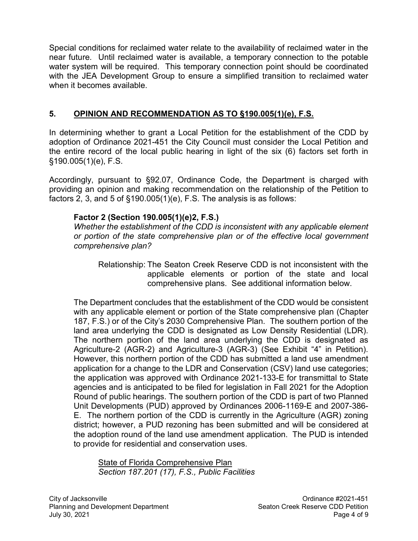Special conditions for reclaimed water relate to the availability of reclaimed water in the near future. Until reclaimed water is available, a temporary connection to the potable water system will be required. This temporary connection point should be coordinated with the JEA Development Group to ensure a simplified transition to reclaimed water when it becomes available.

### 5. OPINION AND RECOMMENDATION AS TO §190.005(1)(e), F.S.

In determining whether to grant a Local Petition for the establishment of the CDD by adoption of Ordinance 2021-451 the City Council must consider the Local Petition and the entire record of the local public hearing in light of the six (6) factors set forth in §190.005(1)(e), F.S.

Accordingly, pursuant to §92.07, Ordinance Code, the Department is charged with providing an opinion and making recommendation on the relationship of the Petition to factors 2, 3, and 5 of §190.005(1)(e), F.S. The analysis is as follows:

### Factor 2 (Section 190.005(1)(e)2, F.S.)

Whether the establishment of the CDD is inconsistent with any applicable element or portion of the state comprehensive plan or of the effective local government comprehensive plan?

 Relationship: The Seaton Creek Reserve CDD is not inconsistent with the applicable elements or portion of the state and local comprehensive plans. See additional information below.

The Department concludes that the establishment of the CDD would be consistent with any applicable element or portion of the State comprehensive plan (Chapter 187, F.S.) or of the City's 2030 Comprehensive Plan. The southern portion of the land area underlying the CDD is designated as Low Density Residential (LDR). The northern portion of the land area underlying the CDD is designated as Agriculture-2 (AGR-2) and Agriculture-3 (AGR-3) (See Exhibit "4" in Petition). However, this northern portion of the CDD has submitted a land use amendment application for a change to the LDR and Conservation (CSV) land use categories; the application was approved with Ordinance 2021-133-E for transmittal to State agencies and is anticipated to be filed for legislation in Fall 2021 for the Adoption Round of public hearings. The southern portion of the CDD is part of two Planned Unit Developments (PUD) approved by Ordinances 2006-1169-E and 2007-386- E. The northern portion of the CDD is currently in the Agriculture (AGR) zoning district; however, a PUD rezoning has been submitted and will be considered at the adoption round of the land use amendment application. The PUD is intended to provide for residential and conservation uses.

State of Florida Comprehensive Plan Section 187.201 (17), F.S., Public Facilities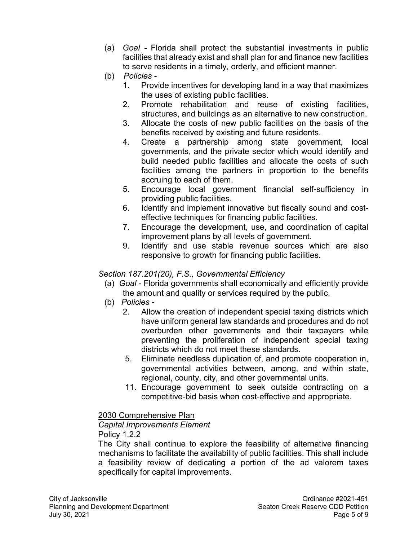- (a) Goal Florida shall protect the substantial investments in public facilities that already exist and shall plan for and finance new facilities to serve residents in a timely, orderly, and efficient manner.
- (b) Policies
	- 1. Provide incentives for developing land in a way that maximizes the uses of existing public facilities.
	- 2. Promote rehabilitation and reuse of existing facilities, structures, and buildings as an alternative to new construction.
	- 3. Allocate the costs of new public facilities on the basis of the benefits received by existing and future residents.
	- 4. Create a partnership among state government, local governments, and the private sector which would identify and build needed public facilities and allocate the costs of such facilities among the partners in proportion to the benefits accruing to each of them.
	- 5. Encourage local government financial self-sufficiency in providing public facilities.
	- 6. Identify and implement innovative but fiscally sound and costeffective techniques for financing public facilities.
	- 7. Encourage the development, use, and coordination of capital improvement plans by all levels of government.
	- 9. Identify and use stable revenue sources which are also responsive to growth for financing public facilities.

### Section 187.201(20), F.S., Governmental Efficiency

- (a) Goal Florida governments shall economically and efficiently provide the amount and quality or services required by the public.
- (b) Policies
	- 2. Allow the creation of independent special taxing districts which have uniform general law standards and procedures and do not overburden other governments and their taxpayers while preventing the proliferation of independent special taxing districts which do not meet these standards.
	- 5. Eliminate needless duplication of, and promote cooperation in, governmental activities between, among, and within state, regional, county, city, and other governmental units.
	- 11. Encourage government to seek outside contracting on a competitive-bid basis when cost-effective and appropriate.

2030 Comprehensive Plan

### Capital Improvements Element Policy 1.2.2

 The City shall continue to explore the feasibility of alternative financing mechanisms to facilitate the availability of public facilities. This shall include a feasibility review of dedicating a portion of the ad valorem taxes specifically for capital improvements.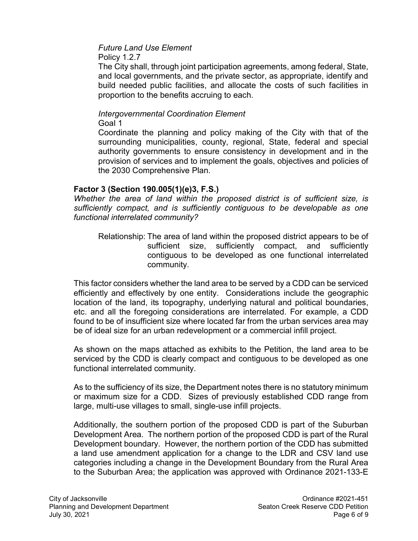# Future Land Use Element

Policy 1.2.7

 The City shall, through joint participation agreements, among federal, State, and local governments, and the private sector, as appropriate, identify and build needed public facilities, and allocate the costs of such facilities in proportion to the benefits accruing to each.

#### Intergovernmental Coordination Element Goal 1

 Coordinate the planning and policy making of the City with that of the surrounding municipalities, county, regional, State, federal and special authority governments to ensure consistency in development and in the provision of services and to implement the goals, objectives and policies of the 2030 Comprehensive Plan.

### Factor 3 (Section 190.005(1)(e)3, F.S.)

Whether the area of land within the proposed district is of sufficient size, is sufficiently compact, and is sufficiently contiguous to be developable as one functional interrelated community?

Relationship: The area of land within the proposed district appears to be of sufficient size, sufficiently compact, and sufficiently contiguous to be developed as one functional interrelated community.

This factor considers whether the land area to be served by a CDD can be serviced efficiently and effectively by one entity. Considerations include the geographic location of the land, its topography, underlying natural and political boundaries, etc. and all the foregoing considerations are interrelated. For example, a CDD found to be of insufficient size where located far from the urban services area may be of ideal size for an urban redevelopment or a commercial infill project.

As shown on the maps attached as exhibits to the Petition, the land area to be serviced by the CDD is clearly compact and contiguous to be developed as one functional interrelated community.

As to the sufficiency of its size, the Department notes there is no statutory minimum or maximum size for a CDD. Sizes of previously established CDD range from large, multi-use villages to small, single-use infill projects.

Additionally, the southern portion of the proposed CDD is part of the Suburban Development Area. The northern portion of the proposed CDD is part of the Rural Development boundary. However, the northern portion of the CDD has submitted a land use amendment application for a change to the LDR and CSV land use categories including a change in the Development Boundary from the Rural Area to the Suburban Area; the application was approved with Ordinance 2021-133-E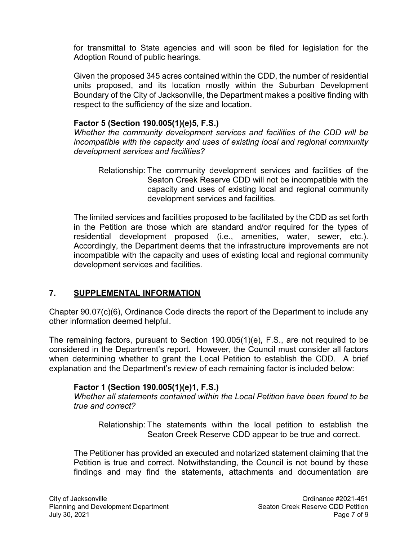for transmittal to State agencies and will soon be filed for legislation for the Adoption Round of public hearings.

Given the proposed 345 acres contained within the CDD, the number of residential units proposed, and its location mostly within the Suburban Development Boundary of the City of Jacksonville, the Department makes a positive finding with respect to the sufficiency of the size and location.

### Factor 5 (Section 190.005(1)(e)5, F.S.)

Whether the community development services and facilities of the CDD will be incompatible with the capacity and uses of existing local and regional community development services and facilities?

Relationship: The community development services and facilities of the Seaton Creek Reserve CDD will not be incompatible with the capacity and uses of existing local and regional community development services and facilities.

The limited services and facilities proposed to be facilitated by the CDD as set forth in the Petition are those which are standard and/or required for the types of residential development proposed (i.e., amenities, water, sewer, etc.). Accordingly, the Department deems that the infrastructure improvements are not incompatible with the capacity and uses of existing local and regional community development services and facilities.

### 7. SUPPLEMENTAL INFORMATION

Chapter 90.07(c)(6), Ordinance Code directs the report of the Department to include any other information deemed helpful.

The remaining factors, pursuant to Section 190.005(1)(e), F.S., are not required to be considered in the Department's report. However, the Council must consider all factors when determining whether to grant the Local Petition to establish the CDD. A brief explanation and the Department's review of each remaining factor is included below:

### Factor 1 (Section 190.005(1)(e)1, F.S.)

Whether all statements contained within the Local Petition have been found to be true and correct?

Relationship: The statements within the local petition to establish the Seaton Creek Reserve CDD appear to be true and correct.

The Petitioner has provided an executed and notarized statement claiming that the Petition is true and correct. Notwithstanding, the Council is not bound by these findings and may find the statements, attachments and documentation are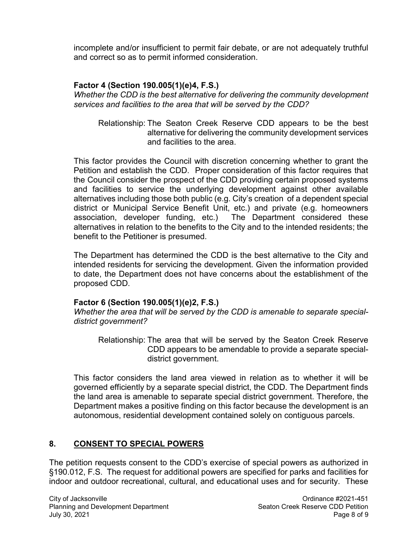incomplete and/or insufficient to permit fair debate, or are not adequately truthful and correct so as to permit informed consideration.

### Factor 4 (Section 190.005(1)(e)4, F.S.)

Whether the CDD is the best alternative for delivering the community development services and facilities to the area that will be served by the CDD?

Relationship: The Seaton Creek Reserve CDD appears to be the best alternative for delivering the community development services and facilities to the area.

This factor provides the Council with discretion concerning whether to grant the Petition and establish the CDD. Proper consideration of this factor requires that the Council consider the prospect of the CDD providing certain proposed systems and facilities to service the underlying development against other available alternatives including those both public (e.g. City's creation of a dependent special district or Municipal Service Benefit Unit, etc.) and private (e.g. homeowners association, developer funding, etc.) The Department considered these alternatives in relation to the benefits to the City and to the intended residents; the benefit to the Petitioner is presumed.

The Department has determined the CDD is the best alternative to the City and intended residents for servicing the development. Given the information provided to date, the Department does not have concerns about the establishment of the proposed CDD.

### Factor 6 (Section 190.005(1)(e)2, F.S.)

Whether the area that will be served by the CDD is amenable to separate specialdistrict government?

Relationship: The area that will be served by the Seaton Creek Reserve CDD appears to be amendable to provide a separate specialdistrict government.

This factor considers the land area viewed in relation as to whether it will be governed efficiently by a separate special district, the CDD. The Department finds the land area is amenable to separate special district government. Therefore, the Department makes a positive finding on this factor because the development is an autonomous, residential development contained solely on contiguous parcels.

## 8. CONSENT TO SPECIAL POWERS

The petition requests consent to the CDD's exercise of special powers as authorized in §190.012, F.S. The request for additional powers are specified for parks and facilities for indoor and outdoor recreational, cultural, and educational uses and for security. These